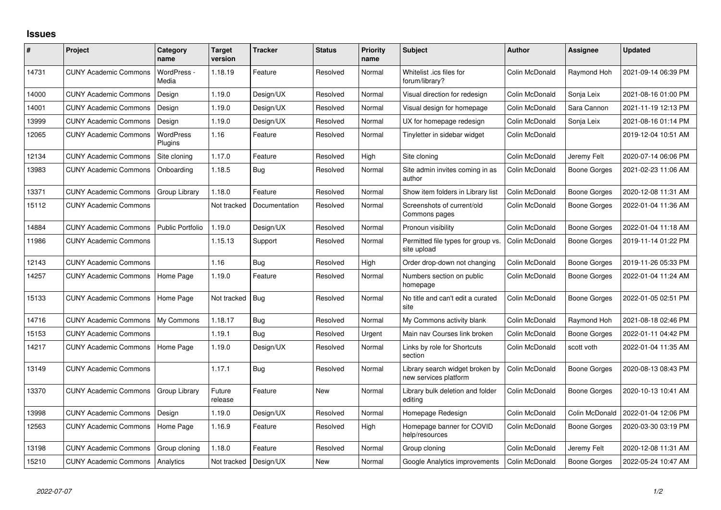## **Issues**

| #     | Project                      | Category<br>name            | <b>Target</b><br>version | <b>Tracker</b> | <b>Status</b> | <b>Priority</b><br>name | <b>Subject</b>                                           | <b>Author</b>  | Assignee            | <b>Updated</b>      |
|-------|------------------------------|-----------------------------|--------------------------|----------------|---------------|-------------------------|----------------------------------------------------------|----------------|---------------------|---------------------|
| 14731 | <b>CUNY Academic Commons</b> | WordPress -<br>Media        | 1.18.19                  | Feature        | Resolved      | Normal                  | Whitelist .ics files for<br>forum/library?               | Colin McDonald | Raymond Hoh         | 2021-09-14 06:39 PM |
| 14000 | <b>CUNY Academic Commons</b> | Design                      | 1.19.0                   | Design/UX      | Resolved      | Normal                  | Visual direction for redesign                            | Colin McDonald | Sonja Leix          | 2021-08-16 01:00 PM |
| 14001 | <b>CUNY Academic Commons</b> | Design                      | 1.19.0                   | Design/UX      | Resolved      | Normal                  | Visual design for homepage                               | Colin McDonald | Sara Cannon         | 2021-11-19 12:13 PM |
| 13999 | <b>CUNY Academic Commons</b> | Design                      | 1.19.0                   | Design/UX      | Resolved      | Normal                  | UX for homepage redesign                                 | Colin McDonald | Sonja Leix          | 2021-08-16 01:14 PM |
| 12065 | <b>CUNY Academic Commons</b> | <b>WordPress</b><br>Plugins | 1.16                     | Feature        | Resolved      | Normal                  | Tinyletter in sidebar widget                             | Colin McDonald |                     | 2019-12-04 10:51 AM |
| 12134 | <b>CUNY Academic Commons</b> | Site cloning                | 1.17.0                   | Feature        | Resolved      | High                    | Site cloning                                             | Colin McDonald | Jeremy Felt         | 2020-07-14 06:06 PM |
| 13983 | <b>CUNY Academic Commons</b> | Onboarding                  | 1.18.5                   | <b>Bug</b>     | Resolved      | Normal                  | Site admin invites coming in as<br>author                | Colin McDonald | <b>Boone Gorges</b> | 2021-02-23 11:06 AM |
| 13371 | <b>CUNY Academic Commons</b> | Group Library               | 1.18.0                   | Feature        | Resolved      | Normal                  | Show item folders in Library list                        | Colin McDonald | Boone Gorges        | 2020-12-08 11:31 AM |
| 15112 | <b>CUNY Academic Commons</b> |                             | Not tracked              | Documentation  | Resolved      | Normal                  | Screenshots of current/old<br>Commons pages              | Colin McDonald | Boone Gorges        | 2022-01-04 11:36 AM |
| 14884 | <b>CUNY Academic Commons</b> | <b>Public Portfolio</b>     | 1.19.0                   | Design/UX      | Resolved      | Normal                  | Pronoun visibility                                       | Colin McDonald | <b>Boone Gorges</b> | 2022-01-04 11:18 AM |
| 11986 | <b>CUNY Academic Commons</b> |                             | 1.15.13                  | Support        | Resolved      | Normal                  | Permitted file types for group vs.<br>site upload        | Colin McDonald | <b>Boone Gorges</b> | 2019-11-14 01:22 PM |
| 12143 | <b>CUNY Academic Commons</b> |                             | 1.16                     | Bug            | Resolved      | High                    | Order drop-down not changing                             | Colin McDonald | <b>Boone Gorges</b> | 2019-11-26 05:33 PM |
| 14257 | <b>CUNY Academic Commons</b> | Home Page                   | 1.19.0                   | Feature        | Resolved      | Normal                  | Numbers section on public<br>homepage                    | Colin McDonald | Boone Gorges        | 2022-01-04 11:24 AM |
| 15133 | <b>CUNY Academic Commons</b> | Home Page                   | Not tracked              | <b>Bug</b>     | Resolved      | Normal                  | No title and can't edit a curated<br>site                | Colin McDonald | <b>Boone Gorges</b> | 2022-01-05 02:51 PM |
| 14716 | <b>CUNY Academic Commons</b> | My Commons                  | 1.18.17                  | Bug            | Resolved      | Normal                  | My Commons activity blank                                | Colin McDonald | Raymond Hoh         | 2021-08-18 02:46 PM |
| 15153 | <b>CUNY Academic Commons</b> |                             | 1.19.1                   | Bug            | Resolved      | Urgent                  | Main nav Courses link broken                             | Colin McDonald | <b>Boone Gorges</b> | 2022-01-11 04:42 PM |
| 14217 | <b>CUNY Academic Commons</b> | Home Page                   | 1.19.0                   | Design/UX      | Resolved      | Normal                  | Links by role for Shortcuts<br>section                   | Colin McDonald | scott voth          | 2022-01-04 11:35 AM |
| 13149 | <b>CUNY Academic Commons</b> |                             | 1.17.1                   | Bug            | Resolved      | Normal                  | Library search widget broken by<br>new services platform | Colin McDonald | <b>Boone Gorges</b> | 2020-08-13 08:43 PM |
| 13370 | <b>CUNY Academic Commons</b> | Group Library               | Future<br>release        | Feature        | New           | Normal                  | Library bulk deletion and folder<br>editing              | Colin McDonald | <b>Boone Gorges</b> | 2020-10-13 10:41 AM |
| 13998 | <b>CUNY Academic Commons</b> | Design                      | 1.19.0                   | Design/UX      | Resolved      | Normal                  | Homepage Redesign                                        | Colin McDonald | Colin McDonald      | 2022-01-04 12:06 PM |
| 12563 | <b>CUNY Academic Commons</b> | Home Page                   | 1.16.9                   | Feature        | Resolved      | High                    | Homepage banner for COVID<br>help/resources              | Colin McDonald | Boone Gorges        | 2020-03-30 03:19 PM |
| 13198 | <b>CUNY Academic Commons</b> | Group cloning               | 1.18.0                   | Feature        | Resolved      | Normal                  | Group cloning                                            | Colin McDonald | Jeremy Felt         | 2020-12-08 11:31 AM |
| 15210 | <b>CUNY Academic Commons</b> | Analytics                   | Not tracked              | Design/UX      | <b>New</b>    | Normal                  | Google Analytics improvements                            | Colin McDonald | <b>Boone Gorges</b> | 2022-05-24 10:47 AM |